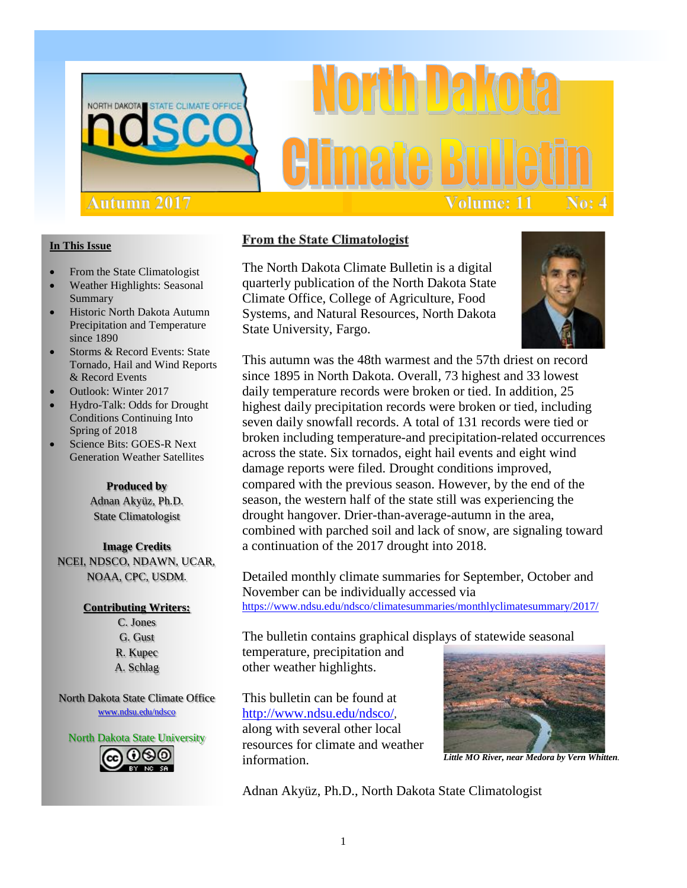

# **Volume: 11** No: 4

## **In This Issue**

- From the State Climatologist
- Weather Highlights: Seasonal Summary
- Historic North Dakota Autumn Precipitation and Temperature since 1890
- Storms & Record Events: State Tornado, Hail and Wind Reports & Record Events
- Outlook: Winter 2017
- Hydro-Talk: Odds for Drought Conditions Continuing Into Spring of 2018
- Science Bits: GOES-R Next Generation Weather Satellites

## **Produced by**

Adnan Akyüz, Ph.D. State Climatologist

**Image Credits** NCEI, NDSCO, NDAWN, UCAR, NOAA, CPC, USDM.

## **Contributing Writers:**

C. Jones G. Gust R. Kupec A. Schlag

North Dakota State Climate Office [www.ndsu.edu/ndsco](http://www.ndsu.edu/ndsco)



## **From the State Climatologist**

The North Dakota Climate Bulletin is a digital quarterly publication of the North Dakota State Climate Office, College of Agriculture, Food Systems, and Natural Resources, North Dakota State University, Fargo.



This autumn was the 48th warmest and the 57th driest on record since 1895 in North Dakota. Overall, 73 highest and 33 lowest daily temperature records were broken or tied. In addition, 25 highest daily precipitation records were broken or tied, including seven daily snowfall records. A total of 131 records were tied or broken including temperature-and precipitation-related occurrences across the state. Six tornados, eight hail events and eight wind damage reports were filed. Drought conditions improved, compared with the previous season. However, by the end of the season, the western half of the state still was experiencing the drought hangover. Drier-than-average-autumn in the area, combined with parched soil and lack of snow, are signaling toward a continuation of the 2017 drought into 2018.

Detailed monthly climate summaries for September, October and November can be individually accessed via <https://www.ndsu.edu/ndsco/climatesummaries/monthlyclimatesummary/2017/>

The bulletin contains graphical displays of statewide seasonal

temperature, precipitation and other weather highlights.

This bulletin can be found at [http://www.ndsu.edu/ndsco/,](http://www.ndsu.edu/ndsco/) along with several other local resources for climate and weather information.



*Little MO River, near Medora by Vern Whitten.*

Adnan Akyüz, Ph.D., North Dakota State Climatologist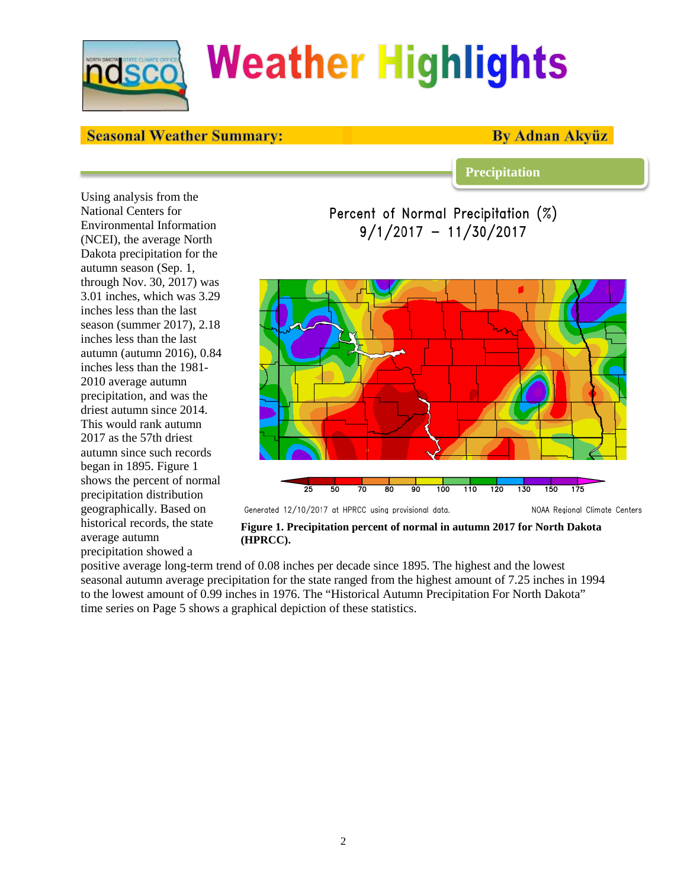

## **Weather Highlights**

## **Seasonal Weather Summary:**

## **By Adnan Akvüz**

**Precipitation**

Using analysis from the National Centers for Environmental Information (NCEI), the average North Dakota precipitation for the autumn season (Sep. 1, through Nov. 30, 2017) was 3.01 inches, which was 3.29 inches less than the last season (summer 2017), 2.18 inches less than the last autumn (autumn 2016), 0.84 inches less than the 1981- 2010 average autumn precipitation, and was the driest autumn since 2014. This would rank autumn 2017 as the 57th driest autumn since such records began in 1895. Figure 1 shows the percent of normal precipitation distribution geographically. Based on historical records, the state average autumn precipitation showed a

Percent of Normal Precipitation (%)  $9/1/2017 - 11/30/2017$ 



**Figure 1. Precipitation percent of normal in autumn 2017 for North Dakota (HPRCC).**

positive average long-term trend of 0.08 inches per decade since 1895. The highest and the lowest seasonal autumn average precipitation for the state ranged from the highest amount of 7.25 inches in 1994 to the lowest amount of 0.99 inches in 1976. The "Historical Autumn Precipitation For North Dakota" time series on Page 5 shows a graphical depiction of these statistics.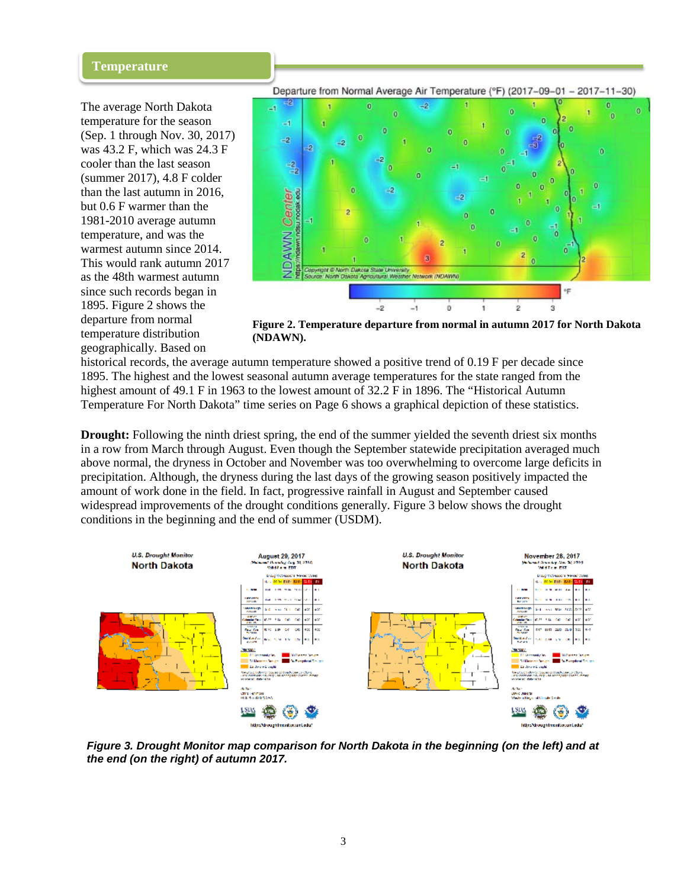### **Temperature**

The average North Dakota temperature for the season (Sep. 1 through Nov. 30, 2017) was 43.2 F, which was 24.3 F cooler than the last season (summer 2017), 4.8 F colder than the last autumn in 2016, but 0.6 F warmer than the 1981-2010 average autumn temperature, and was the warmest autumn since 2014. This would rank autumn 2017 as the 48th warmest autumn since such records began in 1895. Figure 2 shows the departure from normal temperature distribution geographically. Based on

Departure from Normal Average Air Temperature (°F) (2017-09-01 - 2017-11-30)



**Figure 2. Temperature departure from normal in autumn 2017 for North Dakota (NDAWN).**

historical records, the average autumn temperature showed a positive trend of 0.19 F per decade since 1895. The highest and the lowest seasonal autumn average temperatures for the state ranged from the highest amount of 49.1 F in 1963 to the lowest amount of 32.2 F in 1896. The "Historical Autumn" Temperature For North Dakota" time series on Page 6 shows a graphical depiction of these statistics.

**Drought:** Following the ninth driest spring, the end of the summer yielded the seventh driest six months in a row from March through August. Even though the September statewide precipitation averaged much above normal, the dryness in October and November was too overwhelming to overcome large deficits in precipitation. Although, the dryness during the last days of the growing season positively impacted the amount of work done in the field. In fact, progressive rainfall in August and September caused widespread improvements of the drought conditions generally. Figure 3 below shows the drought conditions in the beginning and the end of summer (USDM).



*Figure 3. Drought Monitor map comparison for North Dakota in the beginning (on the left) and at the end (on the right) of autumn 2017.*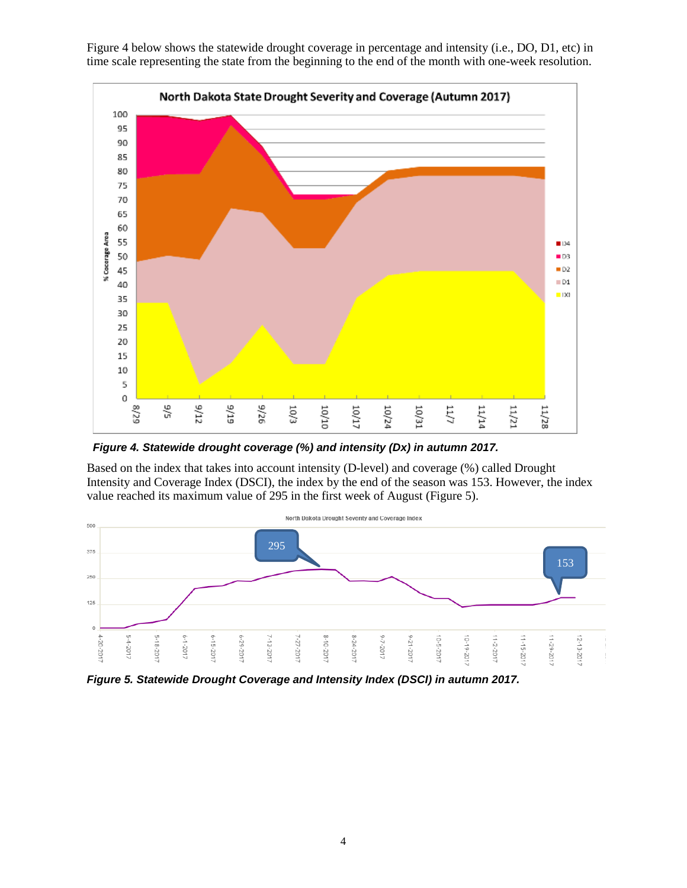

Figure 4 below shows the statewide drought coverage in percentage and intensity (i.e., DO, D1, etc) in time scale representing the state from the beginning to the end of the month with one-week resolution.

*Figure 4. Statewide drought coverage (%) and intensity (Dx) in autumn 2017.*

Based on the index that takes into account intensity (D-level) and coverage (%) called Drought Intensity and Coverage Index (DSCI), the index by the end of the season was 153. However, the index value reached its maximum value of 295 in the first week of August (Figure 5).



*Figure 5. Statewide Drought Coverage and Intensity Index (DSCI) in autumn 2017.*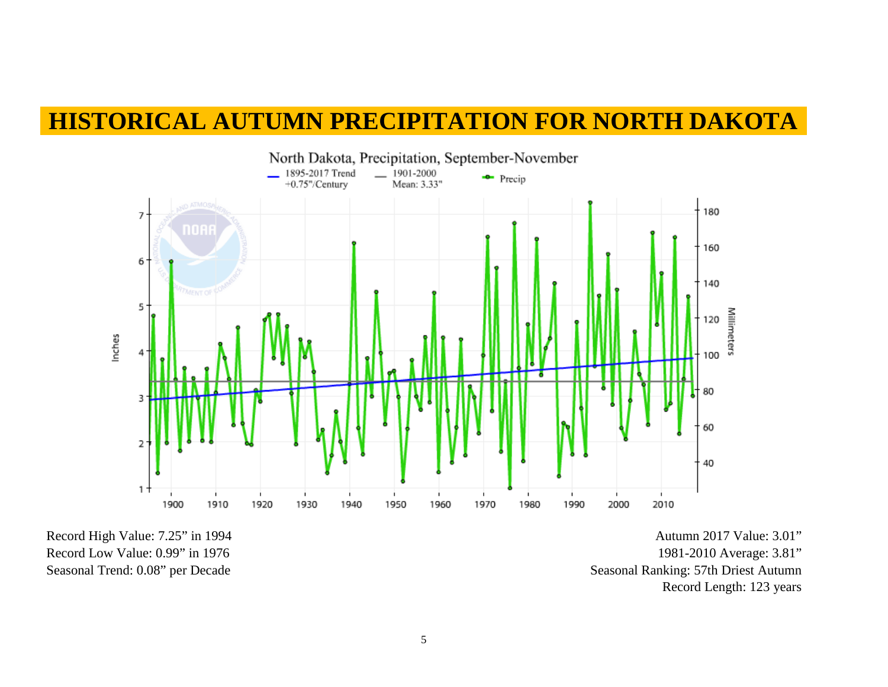## **HISTORICAL AUTUMN PRECIPITATION FOR NORTH DAKOTA**



Record High Value: 7.25" in 1994 Record Low Value: 0.99" in 1976 Seasonal Trend: 0.08" per Decade

Autumn 2017 Value: 3.01" 1981-2010 Average: 3.81" Seasonal Ranking: 57th Driest Autumn Record Length: 123 years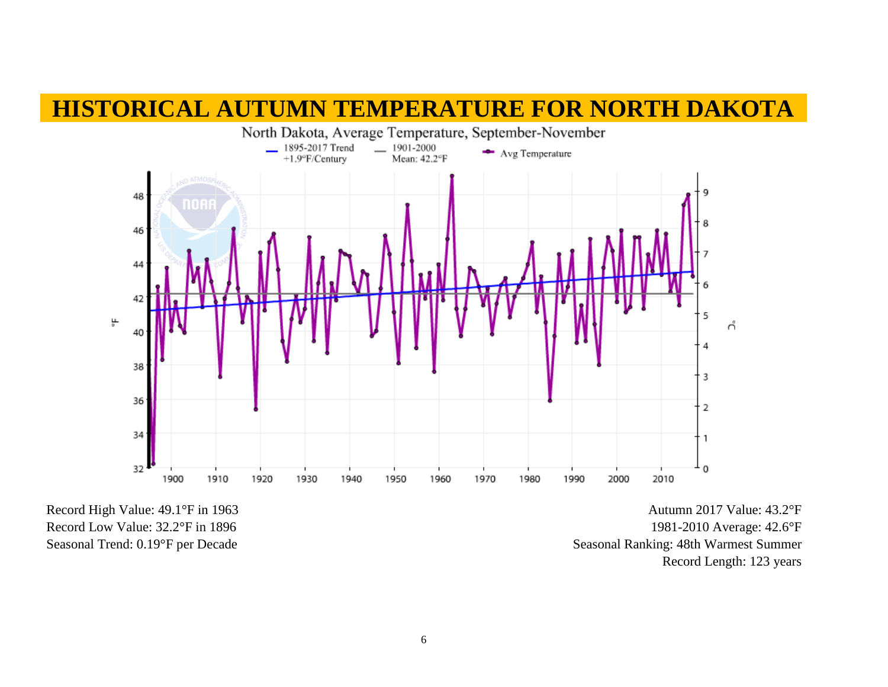## **HISTORICAL AUTUMN TEMPERATURE FOR NORTH DAKOTA**



Record High Value: 49.1°F in 1963 Record Low Value: 32.2°F in 1896 Seasonal Trend: 0.19°F per Decade

Autumn 2017 Value: 43.2°F 1981-2010 Average: 42.6°F Seasonal Ranking: 48th Warmest Summer Record Length: 123 years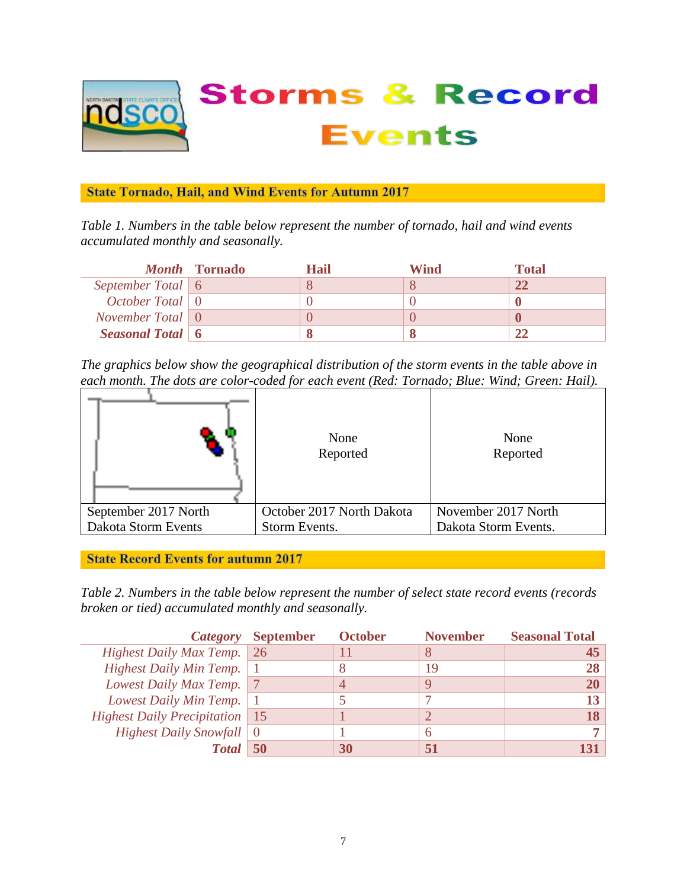

## **State Tornado, Hail, and Wind Events for Autumn 2017**

*Table 1. Numbers in the table below represent the number of tornado, hail and wind events accumulated monthly and seasonally.*

|                                      | <i>Month</i> Tornado | Hail | Wind | <b>Total</b> |
|--------------------------------------|----------------------|------|------|--------------|
| September Total 6                    |                      |      |      | 22           |
| <i>October Total</i> $\vert 0 \vert$ |                      |      |      |              |
| November Total $\vert 0 \vert$       |                      |      |      |              |
| Seasonal Total   6                   |                      |      |      |              |

*The graphics below show the geographical distribution of the storm events in the table above in each month. The dots are color-coded for each event (Red: Tornado; Blue: Wind; Green: Hail).*

|                      | None<br>Reported          | None<br>Reported     |  |
|----------------------|---------------------------|----------------------|--|
| September 2017 North | October 2017 North Dakota | November 2017 North  |  |
| Dakota Storm Events  | Storm Events.             | Dakota Storm Events. |  |

**State Record Events for autumn 2017** 

*Table 2. Numbers in the table below represent the number of select state record events (records broken or tied) accumulated monthly and seasonally.*

|                                         | Category September | <b>October</b> | <b>November</b> | <b>Seasonal Total</b> |
|-----------------------------------------|--------------------|----------------|-----------------|-----------------------|
| Highest Daily Max Temp.                 | $\mid$ 26          |                |                 |                       |
| <b>Highest Daily Min Temp.</b>          |                    | Ω              | 19              |                       |
| Lowest Daily Max Temp.                  |                    |                |                 |                       |
| Lowest Daily Min Temp.                  |                    |                |                 |                       |
| <b>Highest Daily Precipitation</b>   15 |                    |                |                 |                       |
| Highest Daily Snowfall $\vert 0 \vert$  |                    |                |                 |                       |
| <b>Total</b>                            |                    |                |                 |                       |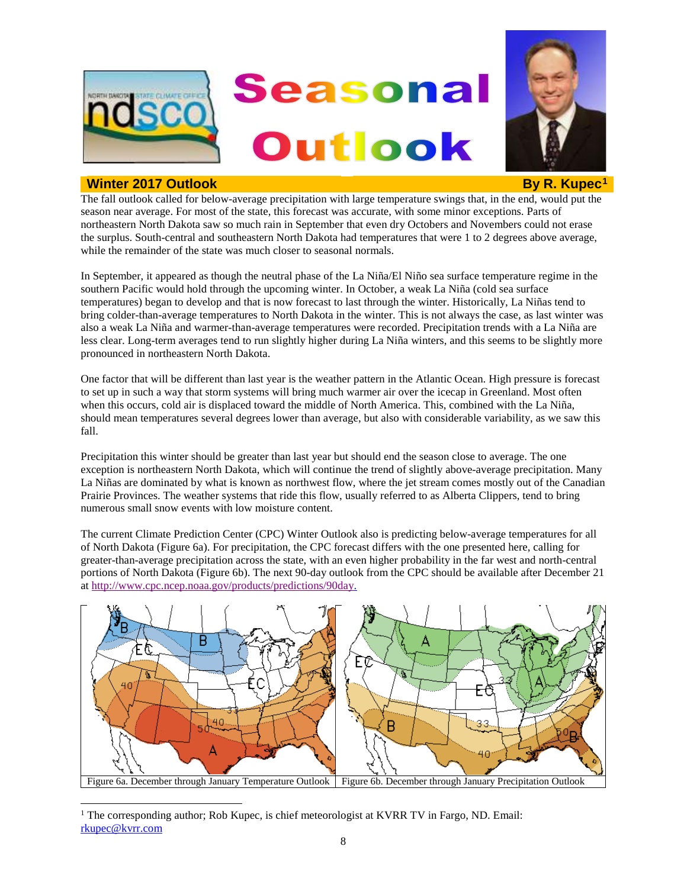

## **Winter 20[1](#page-7-0)7 Outlook By R. Kupec<sup>1</sup> <b>By R. Kupec**<sup>1</sup>



The fall outlook called for below-average precipitation with large temperature swings that, in the end, would put the season near average. For most of the state, this forecast was accurate, with some minor exceptions. Parts of northeastern North Dakota saw so much rain in September that even dry Octobers and Novembers could not erase the surplus. South-central and southeastern North Dakota had temperatures that were 1 to 2 degrees above average, while the remainder of the state was much closer to seasonal normals.

In September, it appeared as though the neutral phase of the La Niña/El Niño sea surface temperature regime in the southern Pacific would hold through the upcoming winter. In October, a weak La Niña (cold sea surface temperatures) began to develop and that is now forecast to last through the winter. Historically, La Niñas tend to bring colder-than-average temperatures to North Dakota in the winter. This is not always the case, as last winter was also a weak La Niña and warmer-than-average temperatures were recorded. Precipitation trends with a La Niña are less clear. Long-term averages tend to run slightly higher during La Niña winters, and this seems to be slightly more pronounced in northeastern North Dakota.

One factor that will be different than last year is the weather pattern in the Atlantic Ocean. High pressure is forecast to set up in such a way that storm systems will bring much warmer air over the icecap in Greenland. Most often when this occurs, cold air is displaced toward the middle of North America. This, combined with the La Niña, should mean temperatures several degrees lower than average, but also with considerable variability, as we saw this fall.

Precipitation this winter should be greater than last year but should end the season close to average. The one exception is northeastern North Dakota, which will continue the trend of slightly above-average precipitation. Many La Niñas are dominated by what is known as northwest flow, where the jet stream comes mostly out of the Canadian Prairie Provinces. The weather systems that ride this flow, usually referred to as Alberta Clippers, tend to bring numerous small snow events with low moisture content.

The current Climate Prediction Center (CPC) Winter Outlook also is predicting below-average temperatures for all of North Dakota (Figure 6a). For precipitation, the CPC forecast differs with the one presented here, calling for greater-than-average precipitation across the state, with an even higher probability in the far west and north-central portions of North Dakota (Figure 6b). The next 90-day outlook from the CPC should be available after December 21 a[t http://www.cpc.ncep.noaa.gov/products/predictions/90day.](http://www.cpc.ncep.noaa.gov/products/predictions/90day)



<span id="page-7-0"></span><sup>&</sup>lt;sup>1</sup> The corresponding author; Rob Kupec, is chief meteorologist at KVRR TV in Fargo, ND. Email: [rkupec@kvrr.com](mailto:rkupec@kvrr.com)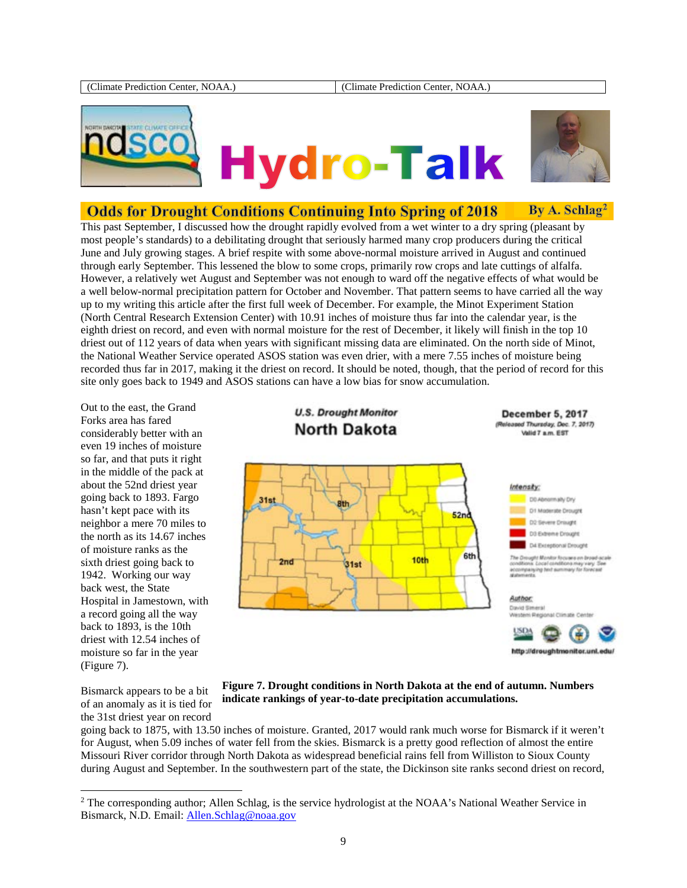

# **Hydro-Talk**



#### **Odds for Drought Conditions Continuing Into Spring of 2018** By A. Schlag<sup>2</sup>

This past September, I discussed how the drought rapidly evolved from a wet winter to a dry spring (pleasant by most people's standards) to a debilitating drought that seriously harmed many crop producers during the critical June and July growing stages. A brief respite with some above-normal moisture arrived in August and continued through early September. This lessened the blow to some crops, primarily row crops and late cuttings of alfalfa. However, a relatively wet August and September was not enough to ward off the negative effects of what would be a well below-normal precipitation pattern for October and November. That pattern seems to have carried all the way up to my writing this article after the first full week of December. For example, the Minot Experiment Station (North Central Research Extension Center) with 10.91 inches of moisture thus far into the calendar year, is the eighth driest on record, and even with normal moisture for the rest of December, it likely will finish in the top 10 driest out of 112 years of data when years with significant missing data are eliminated. On the north side of Minot, the National Weather Service operated ASOS station was even drier, with a mere 7.55 inches of moisture being recorded thus far in 2017, making it the driest on record. It should be noted, though, that the period of record for this site only goes back to 1949 and ASOS stations can have a low bias for snow accumulation.

Out to the east, the Grand Forks area has fared considerably better with an even 19 inches of moisture so far, and that puts it right in the middle of the pack at about the 52nd driest year going back to 1893. Fargo hasn't kept pace with its neighbor a mere 70 miles to the north as its 14.67 inches of moisture ranks as the sixth driest going back to 1942. Working our way back west, the State Hospital in Jamestown, with a record going all the way back to 1893, is the 10th driest with 12.54 inches of moisture so far in the year (Figure 7).

**U.S. Drought Monitor North Dakota** 

**December 5, 2017** (Released Thursday, Dec. 7, 2017) Valid 7 a.m. EST



#### **Figure 7. Drought conditions in North Dakota at the end of autumn. Numbers indicate rankings of year-to-date precipitation accumulations.**

Bismarck appears to be a bit of an anomaly as it is tied for the 31st driest year on record

going back to 1875, with 13.50 inches of moisture. Granted, 2017 would rank much worse for Bismarck if it weren't for August, when 5.09 inches of water fell from the skies. Bismarck is a pretty good reflection of almost the entire Missouri River corridor through North Dakota as widespread beneficial rains fell from Williston to Sioux County during August and September. In the southwestern part of the state, the Dickinson site ranks second driest on record,

<sup>&</sup>lt;sup>2</sup> The corresponding author; Allen Schlag, is the service hydrologist at the NOAA's National Weather Service in Bismarck, N.D. Email: [Allen.Schlag@noaa.gov](mailto:Allen.Schlag@noaa.gov)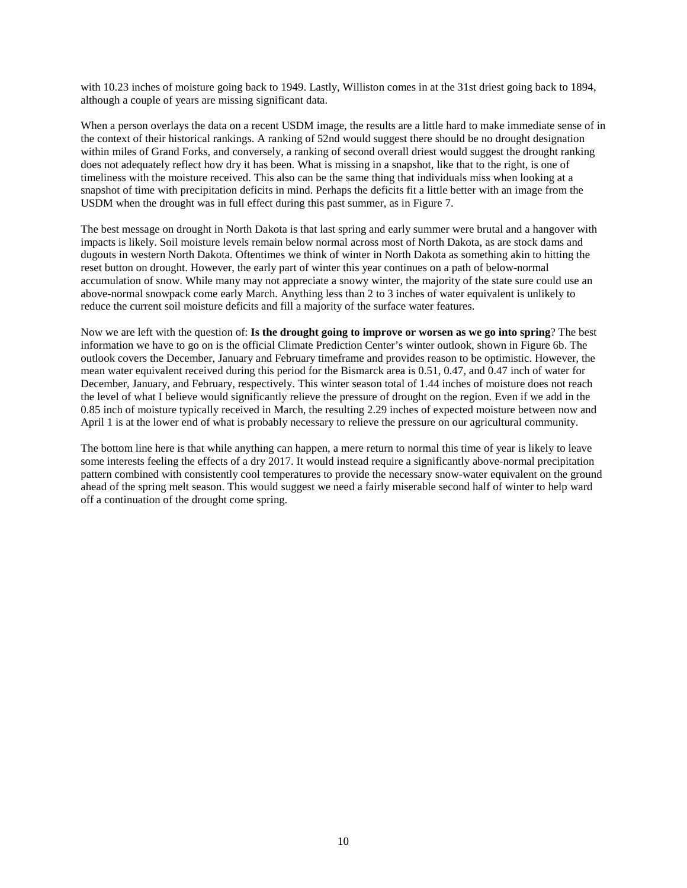with 10.23 inches of moisture going back to 1949. Lastly, Williston comes in at the 31st driest going back to 1894, although a couple of years are missing significant data.

When a person overlays the data on a recent USDM image, the results are a little hard to make immediate sense of in the context of their historical rankings. A ranking of 52nd would suggest there should be no drought designation within miles of Grand Forks, and conversely, a ranking of second overall driest would suggest the drought ranking does not adequately reflect how dry it has been. What is missing in a snapshot, like that to the right, is one of timeliness with the moisture received. This also can be the same thing that individuals miss when looking at a snapshot of time with precipitation deficits in mind. Perhaps the deficits fit a little better with an image from the USDM when the drought was in full effect during this past summer, as in Figure 7.

The best message on drought in North Dakota is that last spring and early summer were brutal and a hangover with impacts is likely. Soil moisture levels remain below normal across most of North Dakota, as are stock dams and dugouts in western North Dakota. Oftentimes we think of winter in North Dakota as something akin to hitting the reset button on drought. However, the early part of winter this year continues on a path of below-normal accumulation of snow. While many may not appreciate a snowy winter, the majority of the state sure could use an above-normal snowpack come early March. Anything less than 2 to 3 inches of water equivalent is unlikely to reduce the current soil moisture deficits and fill a majority of the surface water features.

Now we are left with the question of: **Is the drought going to improve or worsen as we go into spring**? The best information we have to go on is the official Climate Prediction Center's winter outlook, shown in Figure 6b. The outlook covers the December, January and February timeframe and provides reason to be optimistic. However, the mean water equivalent received during this period for the Bismarck area is 0.51, 0.47, and 0.47 inch of water for December, January, and February, respectively. This winter season total of 1.44 inches of moisture does not reach the level of what I believe would significantly relieve the pressure of drought on the region. Even if we add in the 0.85 inch of moisture typically received in March, the resulting 2.29 inches of expected moisture between now and April 1 is at the lower end of what is probably necessary to relieve the pressure on our agricultural community.

The bottom line here is that while anything can happen, a mere return to normal this time of year is likely to leave some interests feeling the effects of a dry 2017. It would instead require a significantly above-normal precipitation pattern combined with consistently cool temperatures to provide the necessary snow-water equivalent on the ground ahead of the spring melt season. This would suggest we need a fairly miserable second half of winter to help ward off a continuation of the drought come spring.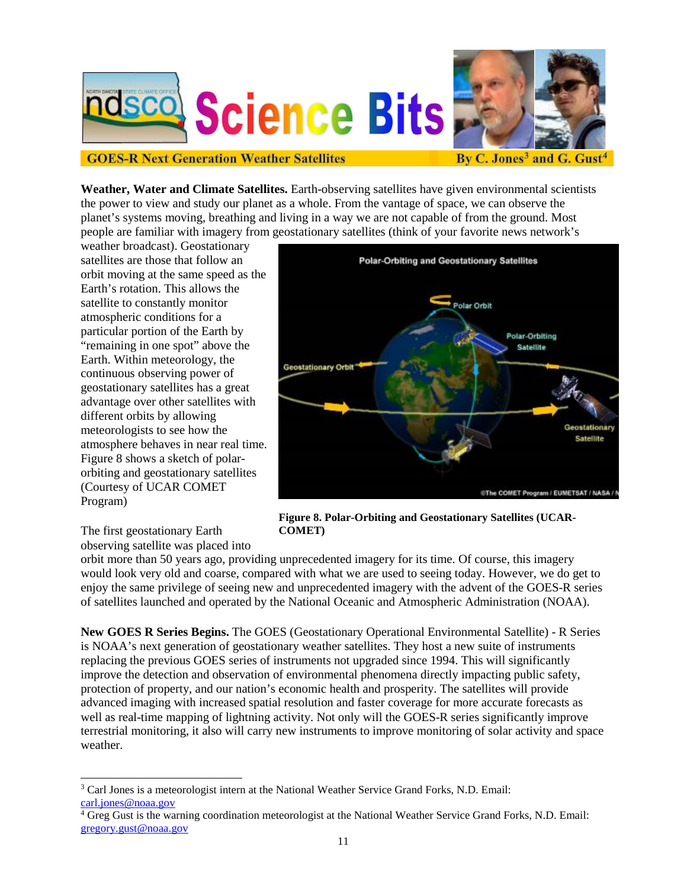



## **GOES-R Next Generation Weather Satellites**

**Weather, Water and Climate Satellites.** Earth-observing satellites have given environmental scientists the power to view and study our planet as a whole. From the vantage of space, we can observe the planet's systems moving, breathing and living in a way we are not capable of from the ground. Most people are familiar with imagery from geostationary satellites (think of your favorite news network's

weather broadcast). Geostationary satellites are those that follow an orbit moving at the same speed as the Earth's rotation. This allows the satellite to constantly monitor atmospheric conditions for a particular portion of the Earth by "remaining in one spot" above the Earth. Within meteorology, the continuous observing power of geostationary satellites has a great advantage over other satellites with different orbits by allowing meteorologists to see how the atmosphere behaves in near real time. Figure 8 shows a sketch of polarorbiting and geostationary satellites (Courtesy of UCAR COMET Program)



**Figure 8. Polar-Orbiting and Geostationary Satellites (UCAR-COMET)**

The first geostationary Earth observing satellite was placed into

orbit more than 50 years ago, providing unprecedented imagery for its time. Of course, this imagery would look very old and coarse, compared with what we are used to seeing today. However, we do get to enjoy the same privilege of seeing new and unprecedented imagery with the advent of the GOES-R series of satellites launched and operated by the National Oceanic and Atmospheric Administration (NOAA).

**New GOES R Series Begins.** The GOES (Geostationary Operational Environmental Satellite) - R Series is NOAA's next generation of geostationary weather satellites. They host a new suite of instruments replacing the previous GOES series of instruments not upgraded since 1994. This will significantly improve the detection and observation of environmental phenomena directly impacting public safety, protection of property, and our nation's economic health and prosperity. The satellites will provide advanced imaging with increased spatial resolution and faster coverage for more accurate forecasts as well as real-time mapping of lightning activity. Not only will the GOES-R series significantly improve terrestrial monitoring, it also will carry new instruments to improve monitoring of solar activity and space weather.

 <sup>3</sup> Carl Jones is a meteorologist intern at the National Weather Service Grand Forks, N.D. Email: [carl.jones@noaa.gov](mailto:carl.jones@noaa.gov)

<sup>4</sup> Greg Gust is the warning coordination meteorologist at the National Weather Service Grand Forks, N.D. Email: [gregory.gust@noaa.gov](mailto:gregory.gust@noaa.gov)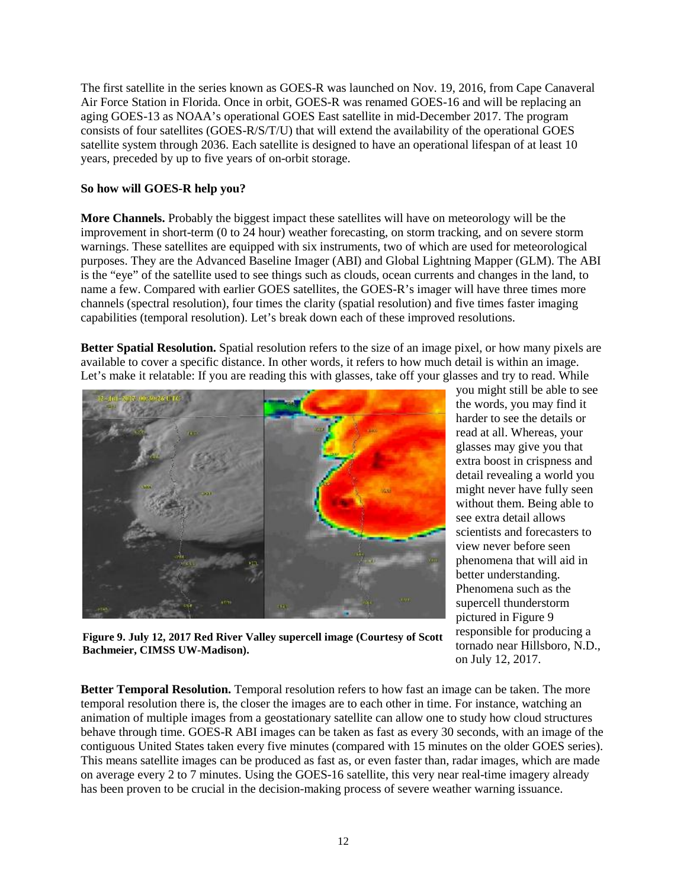The first satellite in the series known as GOES-R was launched on Nov. 19, 2016, from Cape Canaveral Air Force Station in Florida. Once in orbit, GOES-R was renamed GOES-16 and will be replacing an aging GOES-13 as NOAA's operational GOES East satellite in mid-December 2017. The program consists of four satellites (GOES-R/S/T/U) that will extend the availability of the operational GOES satellite system through 2036. Each satellite is designed to have an operational lifespan of at least 10 years, preceded by up to five years of on-orbit storage.

## **So how will GOES-R help you?**

**More Channels.** Probably the biggest impact these satellites will have on meteorology will be the improvement in short-term (0 to 24 hour) weather forecasting, on storm tracking, and on severe storm warnings. These satellites are equipped with six instruments, two of which are used for meteorological purposes. They are the Advanced Baseline Imager (ABI) and Global Lightning Mapper (GLM). The ABI is the "eye" of the satellite used to see things such as clouds, ocean currents and changes in the land, to name a few. Compared with earlier GOES satellites, the GOES-R's imager will have three times more channels (spectral resolution), four times the clarity (spatial resolution) and five times faster imaging capabilities (temporal resolution). Let's break down each of these improved resolutions.

**Better Spatial Resolution.** Spatial resolution refers to the size of an image pixel, or how many pixels are available to cover a specific distance. In other words, it refers to how much detail is within an image. Let's make it relatable: If you are reading this with glasses, take off your glasses and try to read. While



**Figure 9. July 12, 2017 Red River Valley supercell image (Courtesy of Scott Bachmeier, CIMSS UW-Madison).**

you might still be able to see the words, you may find it harder to see the details or read at all. Whereas, your glasses may give you that extra boost in crispness and detail revealing a world you might never have fully seen without them. Being able to see extra detail allows scientists and forecasters to view never before seen phenomena that will aid in better understanding. Phenomena such as the supercell thunderstorm pictured in Figure 9 responsible for producing a tornado near Hillsboro, N.D., on July 12, 2017.

**Better Temporal Resolution.** Temporal resolution refers to how fast an image can be taken. The more temporal resolution there is, the closer the images are to each other in time. For instance, watching an animation of multiple images from a geostationary satellite can allow one to study how cloud structures behave through time. GOES-R ABI images can be taken as fast as every 30 seconds, with an image of the contiguous United States taken every five minutes (compared with 15 minutes on the older GOES series). This means satellite images can be produced as fast as, or even faster than, radar images, which are made on average every 2 to 7 minutes. Using the GOES-16 satellite, this very near real-time imagery already has been proven to be crucial in the decision-making process of severe weather warning issuance.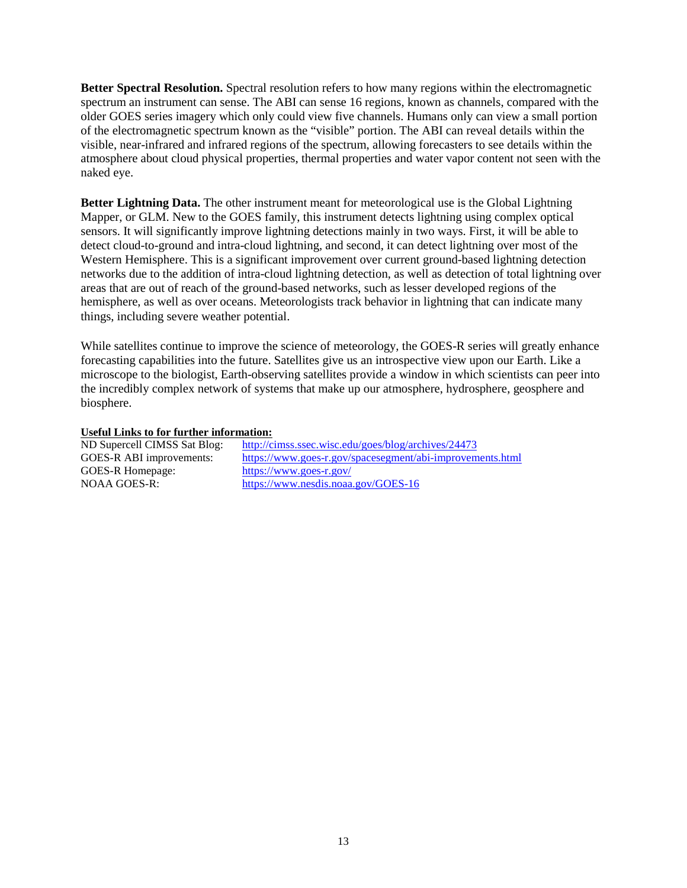**Better Spectral Resolution.** Spectral resolution refers to how many regions within the electromagnetic spectrum an instrument can sense. The ABI can sense 16 regions, known as channels, compared with the older GOES series imagery which only could view five channels. Humans only can view a small portion of the electromagnetic spectrum known as the "visible" portion. The ABI can reveal details within the visible, near-infrared and infrared regions of the spectrum, allowing forecasters to see details within the atmosphere about cloud physical properties, thermal properties and water vapor content not seen with the naked eye.

**Better Lightning Data.** The other instrument meant for meteorological use is the Global Lightning Mapper, or GLM. New to the GOES family, this instrument detects lightning using complex optical sensors. It will significantly improve lightning detections mainly in two ways. First, it will be able to detect cloud-to-ground and intra-cloud lightning, and second, it can detect lightning over most of the Western Hemisphere. This is a significant improvement over current ground-based lightning detection networks due to the addition of intra-cloud lightning detection, as well as detection of total lightning over areas that are out of reach of the ground-based networks, such as lesser developed regions of the hemisphere, as well as over oceans. Meteorologists track behavior in lightning that can indicate many things, including severe weather potential.

While satellites continue to improve the science of meteorology, the GOES-R series will greatly enhance forecasting capabilities into the future. Satellites give us an introspective view upon our Earth. Like a microscope to the biologist, Earth-observing satellites provide a window in which scientists can peer into the incredibly complex network of systems that make up our atmosphere, hydrosphere, geosphere and biosphere.

### **Useful Links to for further information:**

| ND Supercell CIMSS Sat Blog: | http://cimss.ssec.wisc.edu/goes/blog/archives/24473       |
|------------------------------|-----------------------------------------------------------|
| GOES-R ABI improvements:     | https://www.goes-r.gov/spacesegment/abi-improvements.html |
| GOES-R Homepage:             | https://www.goes-r.gov/                                   |
| NOAA GOES-R:                 | https://www.nesdis.noaa.gov/GOES-16                       |